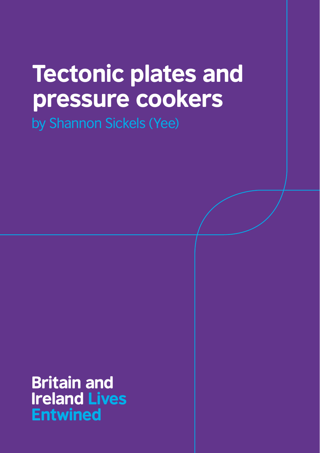# Tectonic plates and pressure cookers

by Shannon Sickels (Yee)

 Britain and Ireland Lives Entwined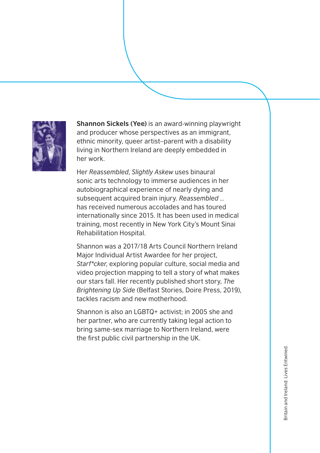

**Shannon Sickels (Yee)** is an award-winning playwright and producer whose perspectives as an immigrant, ethnic minority, queer artist–parent with a disability living in Northern Ireland are deeply embedded in her work.

Her *Reassembled*, *Slightly Askew* uses binaural sonic arts technology to immerse audiences in her autobiographical experience of nearly dying and subsequent acquired brain injury. *Reassembled …* has received numerous accolades and has toured internationally since 2015. It has been used in medical training, most recently in New York City's Mount Sinai Rehabilitation Hospital.

Shannon was a 2017/18 Arts Council Northern Ireland Major Individual Artist Awardee for her project, *Starf\*cker,* exploring popular culture, social media and video projection mapping to tell a story of what makes our stars fall. Her recently published short story, *The Brightening Up Side* (Belfast Stories, Doire Press, 2019), tackles racism and new motherhood.

Shannon is also an LGBTQ+ activist; in 2005 she and her partner, who are currently taking legal action to bring same-sex marriage to Northern Ireland, were the first public civil partnership in the UK.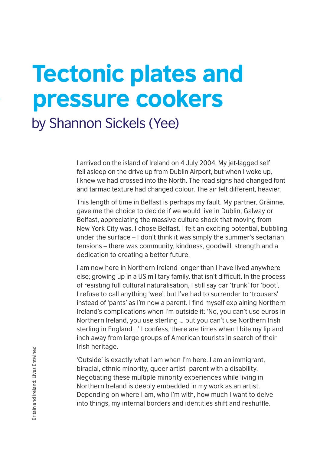# Tectonic plates and pressure cookers

by Shannon Sickels (Yee)

I arrived on the island of Ireland on 4 July 2004. My jet-lagged self fell asleep on the drive up from Dublin Airport, but when I woke up, I knew we had crossed into the North. The road signs had changed font and tarmac texture had changed colour. The air felt different, heavier.

This length of time in Belfast is perhaps my fault. My partner, Gráinne, gave me the choice to decide if we would live in Dublin, Galway or Belfast, appreciating the massive culture shock that moving from New York City was. I chose Belfast. I felt an exciting potential, bubbling under the surface – I don't think it was simply the summer's sectarian tensions – there was community, kindness, goodwill, strength and a dedication to creating a better future.

I am now here in Northern Ireland longer than I have lived anywhere else; growing up in a US military family, that isn't difficult. In the process of resisting full cultural naturalisation, I still say car 'trunk' for 'boot', I refuse to call anything 'wee', but I've had to surrender to 'trousers' instead of 'pants' as I'm now a parent. I find myself explaining Northern Ireland's complications when I'm outside it: 'No, you can't use euros in Northern Ireland, you use sterling … but you can't use Northern Irish sterling in England …' I confess, there are times when I bite my lip and inch away from large groups of American tourists in search of their Irish heritage.

'Outside' is exactly what I am when I'm here. I am an immigrant, biracial, ethnic minority, queer artist–parent with a disability. Negotiating these multiple minority experiences while living in Northern Ireland is deeply embedded in my work as an artist. Depending on where I am, who I'm with, how much I want to delve into things, my internal borders and identities shift and reshuffle.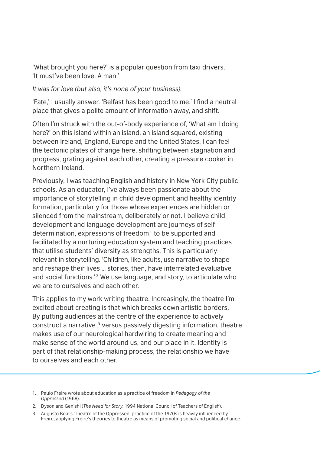'What brought you here?' is a popular question from taxi drivers. 'It must've been love. A man.'

*It was for love (but also, it's none of your business).*

'Fate,' I usually answer. 'Belfast has been good to me.' I find a neutral place that gives a polite amount of information away, and shift.

Often I'm struck with the out-of-body experience of, 'What am I doing here?' on this island within an island, an island squared, existing between Ireland, England, Europe and the United States. I can feel the tectonic plates of change here, shifting between stagnation and progress, grating against each other, creating a pressure cooker in Northern Ireland.

Previously, I was teaching English and history in New York City public schools. As an educator, I've always been passionate about the importance of storytelling in child development and healthy identity formation, particularly for those whose experiences are hidden or silenced from the mainstream, deliberately or not. I believe child development and language development are journeys of selfdetermination, expressions of freedom<sup>1</sup> to be supported and facilitated by a nurturing education system and teaching practices that utilise students' diversity as strengths. This is particularly relevant in storytelling. 'Children, like adults, use narrative to shape and reshape their lives … stories, then, have interrelated evaluative and social functions.'² We use language, and story, to articulate who we are to ourselves and each other.

This applies to my work writing theatre. Increasingly, the theatre I'm excited about creating is that which breaks down artistic borders. By putting audiences at the centre of the experience to actively construct a narrative,³ versus passively digesting information, theatre makes use of our neurological hardwiring to create meaning and make sense of the world around us, and our place in it. Identity is part of that relationship-making process, the relationship we have to ourselves and each other.

<sup>1.</sup> Paulo Freire wrote about education as a practice of freedom in *Pedagogy of the Oppressed* (1968).

<sup>2.</sup> Dyson and Genishi (*The Need for Story*, 1994 National Council of Teachers of English).

<sup>3.</sup> Augusto Boal's 'Theatre of the Oppressed' practice of the 1970s is heavily influenced by Freire, applying Freire's theories to theatre as means of promoting social and political change.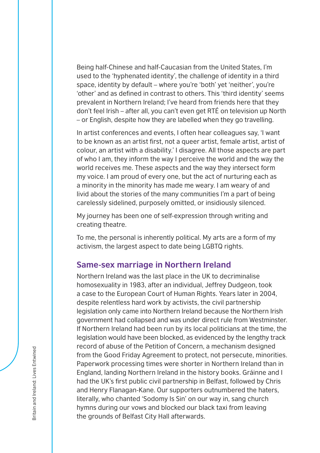Being half-Chinese and half-Caucasian from the United States, I'm used to the 'hyphenated identity', the challenge of identity in a third space, identity by default – where you're 'both' yet 'neither', you're 'other' and as defined in contrast to others. This 'third identity' seems prevalent in Northern Ireland; I've heard from friends here that they don't feel Irish – after all, you can't even get RTÉ on television up North – or English, despite how they are labelled when they go travelling.

In artist conferences and events, I often hear colleagues say, 'I want to be known as an artist first, not a queer artist, female artist, artist of colour, an artist with a disability.' I disagree. All those aspects are part of who I am, they inform the way I perceive the world and the way the world receives me. These aspects and the way they intersect form my voice. I am proud of every one, but the act of nurturing each as a minority in the minority has made me weary. I am weary of and livid about the stories of the many communities I'm a part of being carelessly sidelined, purposely omitted, or insidiously silenced.

My journey has been one of self-expression through writing and creating theatre.

To me, the personal is inherently political. My arts are a form of my activism, the largest aspect to date being LGBTQ rights.

#### **Same-sex marriage in Northern Ireland**

Northern Ireland was the last place in the UK to decriminalise homosexuality in 1983, after an individual, Jeffrey Dudgeon, took a case to the European Court of Human Rights. Years later in 2004, despite relentless hard work by activists, the civil partnership legislation only came into Northern Ireland because the Northern Irish government had collapsed and was under direct rule from Westminster. If Northern Ireland had been run by its local politicians at the time, the legislation would have been blocked, as evidenced by the lengthy track record of abuse of the Petition of Concern, a mechanism designed from the Good Friday Agreement to protect, not persecute, minorities. Paperwork processing times were shorter in Northern Ireland than in England, landing Northern Ireland in the history books. Gráinne and I had the UK's first public civil partnership in Belfast, followed by Chris and Henry Flanagan-Kane. Our supporters outnumbered the haters, literally, who chanted 'Sodomy Is Sin' on our way in, sang church hymns during our vows and blocked our black taxi from leaving the grounds of Belfast City Hall afterwards.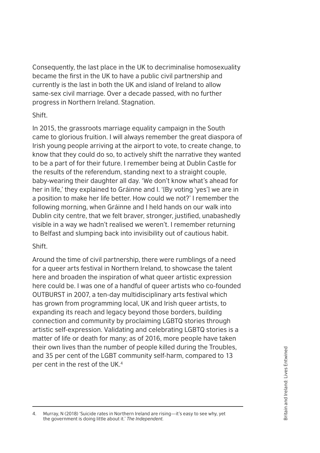Consequently, the last place in the UK to decriminalise homosexuality became the first in the UK to have a public civil partnership and currently is the last in both the UK and island of Ireland to allow same-sex civil marriage. Over a decade passed, with no further progress in Northern Ireland. Stagnation.

#### **Shift.**

In 2015, the grassroots marriage equality campaign in the South came to glorious fruition. I will always remember the great diaspora of Irish young people arriving at the airport to vote, to create change, to know that they could do so, to actively shift the narrative they wanted to be a part of for their future. I remember being at Dublin Castle for the results of the referendum, standing next to a straight couple, baby-wearing their daughter all day. 'We don't know what's ahead for her in life,' they explained to Gráinne and I. '[By voting 'yes'] we are in a position to make her life better. How could we not?' I remember the following morning, when Gráinne and I held hands on our walk into Dublin city centre, that we felt braver, stronger, justified, unabashedly visible in a way we hadn't realised we weren't. I remember returning to Belfast and slumping back into invisibility out of cautious habit.

#### Shift.

Around the time of civil partnership, there were rumblings of a need for a queer arts festival in Northern Ireland, to showcase the talent here and broaden the inspiration of what queer artistic expression here could be. I was one of a handful of queer artists who co-founded OUTBURST in 2007, a ten-day multidisciplinary arts festival which has grown from programming local, UK and Irish queer artists, to expanding its reach and legacy beyond those borders, building connection and community by proclaiming LGBTQ stories through artistic self-expression. Validating and celebrating LGBTQ stories is a matter of life or death for many; as of 2016, more people have taken their own lives than the number of people killed during the Troubles, and 35 per cent of the LGBT community self-harm, compared to 13 per cent in the rest of the UK.4

4. Murray, N (2018) 'Suicide rates in Northern Ireland are rising—it's easy to see why, yet the government is doing little about it.' *The Independent.*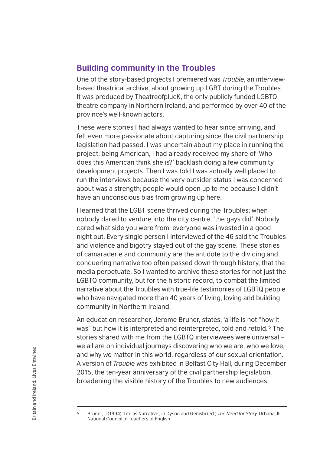## **Building community in the Troubles**

One of the story-based projects I premiered was *Trouble*, an interviewbased theatrical archive, about growing up LGBT during the Troubles. It was produced by TheatreofplucK, the only publicly funded LGBTQ theatre company in Northern Ireland, and performed by over 40 of the province's well-known actors.

These were stories I had always wanted to hear since arriving, and felt even more passionate about capturing since the civil partnership legislation had passed. I was uncertain about my place in running the project; being American, I had already received my share of 'Who does this American think she is?' backlash doing a few community development projects. Then I was told I was actually well placed to run the interviews because the very outsider status I was concerned about was a strength; people would open up to me because I didn't have an unconscious bias from growing up here.

I learned that the LGBT scene thrived during the Troubles; when nobody dared to venture into the city centre, 'the gays did'. Nobody cared what side you were from, everyone was invested in a good night out. Every single person I interviewed of the 46 said the Troubles and violence and bigotry stayed out of the gay scene. These stories of camaraderie and community are the antidote to the dividing and conquering narrative too often passed down through history, that the media perpetuate. So I wanted to archive these stories for not just the LGBTQ community, but for the historic record, to combat the limited narrative about the Troubles with true-life testimonies of LGBTQ people who have navigated more than 40 years of living, loving and building community in Northern Ireland.

An education researcher, Jerome Bruner, states, 'a life is not "how it was" but how it is interpreted and reinterpreted, told and retold.'5 The stories shared with me from the LGBTQ interviewees were universal – we all are on individual journeys discovering who we are, who we love, and why we matter in this world, regardless of our sexual orientation. A version of *Trouble* was exhibited in Belfast City Hall, during December 2015, the ten-year anniversary of the civil partnership legislation, broadening the visible history of the Troubles to new audiences.

<sup>5.</sup> Bruner, J (1994) 'Life as Narrative', in Dyson and Genishi (ed.) *The Need for Story*. Urbana, Il: National Council of Teachers of English.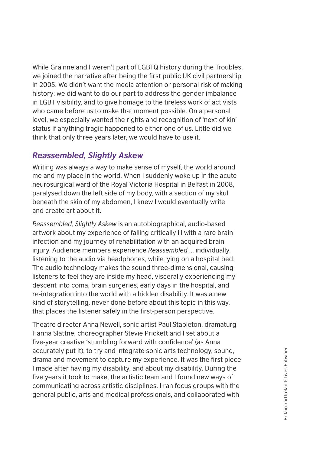While Gráinne and I weren't part of LGBTQ history during the Troubles, we joined the narrative after being the first public UK civil partnership in 2005. We didn't want the media attention or personal risk of making history; we did want to do our part to address the gender imbalance in LGBT visibility, and to give homage to the tireless work of activists who came before us to make that moment possible. On a personal level, we especially wanted the rights and recognition of 'next of kin' status if anything tragic happened to either one of us. Little did we think that only three years later, we would have to use it.

### *Reassembled, Slightly Askew*

Writing was always a way to make sense of myself, the world around me and my place in the world. When I suddenly woke up in the acute neurosurgical ward of the Royal Victoria Hospital in Belfast in 2008, paralysed down the left side of my body, with a section of my skull beneath the skin of my abdomen, I knew I would eventually write and create art about it.

*Reassembled, Slightly Askew* is an autobiographical, audio-based artwork about my experience of falling critically ill with a rare brain infection and my journey of rehabilitation with an acquired brain injury. Audience members experience *Reassembled* ... individually, listening to the audio via headphones, while lying on a hospital bed. The audio technology makes the sound three-dimensional, causing listeners to feel they are inside my head, viscerally experiencing my descent into coma, brain surgeries, early days in the hospital, and re-integration into the world with a hidden disability. It was a new kind of storytelling, never done before about this topic in this way, that places the listener safely in the first-person perspective.

Theatre director Anna Newell, sonic artist Paul Stapleton, dramaturg Hanna Slattne, choreographer Stevie Prickett and I set about a five-year creative 'stumbling forward with confidence' (as Anna accurately put it), to try and integrate sonic arts technology, sound, drama and movement to capture my experience. It was the first piece I made after having my disability, and about my disability. During the five years it took to make, the artistic team and I found new ways of communicating across artistic disciplines. I ran focus groups with the general public, arts and medical professionals, and collaborated with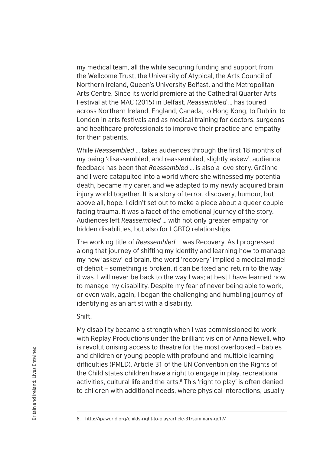my medical team, all the while securing funding and support from the Wellcome Trust, the University of Atypical, the Arts Council of Northern Ireland, Queen's University Belfast, and the Metropolitan Arts Centre. Since its world premiere at the Cathedral Quarter Arts Festival at the MAC (2015) in Belfast, *Reassembled* … has toured across Northern Ireland, England, Canada, to Hong Kong, to Dublin, to London in arts festivals and as medical training for doctors, surgeons and healthcare professionals to improve their practice and empathy for their patients.

While *Reassembled* … takes audiences through the first 18 months of my being 'disassembled, and reassembled, slightly askew', audience feedback has been that *Reassembled* … is also a love story. Gráinne and I were catapulted into a world where she witnessed my potential death, became my carer, and we adapted to my newly acquired brain injury world together. It is a story of terror, discovery, humour, but above all, hope. I didn't set out to make a piece about a queer couple facing trauma. It was a facet of the emotional journey of the story. Audiences left *Reassembled* … with not only greater empathy for hidden disabilities, but also for LGBTQ relationships.

The working title of *Reassembled* … was Recovery. As I progressed along that journey of shifting my identity and learning how to manage my new 'askew'-ed brain, the word 'recovery' implied a medical model of deficit – something is broken, it can be fixed and return to the way it was. I will never be back to the way I was; at best I have learned how to manage my disability. Despite my fear of never being able to work, or even walk, again, I began the challenging and humbling journey of identifying as an artist with a disability.

Shift.

My disability became a strength when I was commissioned to work with Replay Productions under the brilliant vision of Anna Newell, who is revolutionising access to theatre for the most overlooked – babies and children or young people with profound and multiple learning difficulties (PMLD). Article 31 of the UN Convention on the Rights of the Child states children have a right to engage in play, recreational activities, cultural life and the arts.<sup>6</sup> This 'right to play' is often denied to children with additional needs, where physical interactions, usually

<sup>6.</sup> <http://ipaworld.org/childs-right-to-play/article-31/summary-gc17/>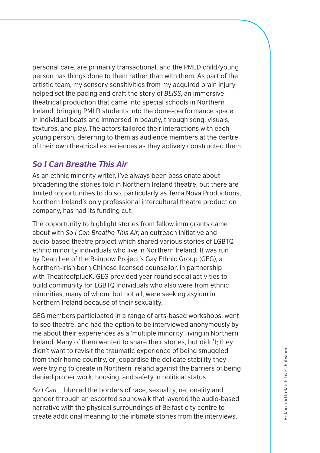personal care, are primarily transactional, and the PMLD child/young person has things done to them rather than with them. As part of the artistic team, my sensory sensitivities from my acquired brain injury helped set the pacing and craft the story of *BLISS*, an immersive theatrical production that came into special schools in Northern Ireland, bringing PMLD students into the dome-performance space in individual boats and immersed in beauty, through song, visuals, textures, and play. The actors tailored their interactions with each young person, deferring to them as audience members at the centre of their own theatrical experiences as they actively constructed them.

#### *So I Can Breathe This Air*

As an ethnic minority writer, I've always been passionate about broadening the stories told in Northern Ireland theatre, but there are limited opportunities to do so, particularly as Terra Nova Productions, Northern Ireland's only professional intercultural theatre production company, has had its funding cut.

The opportunity to highlight stories from fellow immigrants came about with *So I Can Breathe This Air*, an outreach initiative and audio-based theatre project which shared various stories of LGBTQ ethnic minority individuals who live in Northern Ireland. It was run by Dean Lee of the Rainbow Project's Gay Ethnic Group (GEG), a Northern-Irish born Chinese licensed counsellor, in partnership with TheatreofplucK. GEG provided year-round social activities to build community for LGBTQ individuals who also were from ethnic minorities, many of whom, but not all, were seeking asylum in Northern Ireland because of their sexuality.

GEG members participated in a range of arts-based workshops, went to see theatre, and had the option to be interviewed anonymously by me about their experiences as a 'multiple minority' living in Northern Ireland. Many of them wanted to share their stories, but didn't; they didn't want to revisit the traumatic experience of being smuggled from their home country, or jeopardise the delicate stability they were trying to create in Northern Ireland against the barriers of being denied proper work, housing, and safety in political status.

*So I Can* … blurred the borders of race, sexuality, nationality and gender through an escorted soundwalk that layered the audio-based narrative with the physical surroundings of Belfast city centre to create additional meaning to the intimate stories from the interviews.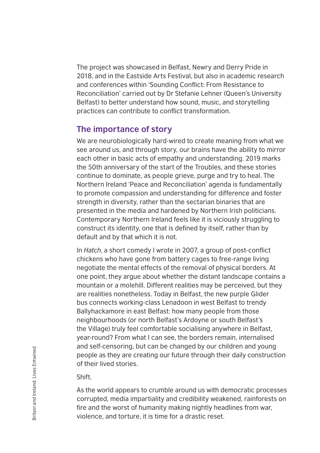The project was showcased in Belfast, Newry and Derry Pride in 2018, and in the Eastside Arts Festival, but also in academic research and conferences within 'Sounding Conflict: From Resistance to Reconciliation' carried out by Dr Stefanie Lehner (Queen's University Belfast) to better understand how sound, music, and storytelling practices can contribute to conflict transformation.

### **The importance of story**

We are neurobiologically hard-wired to create meaning from what we see around us, and through story, our brains have the ability to mirror each other in basic acts of empathy and understanding. 2019 marks the 50th anniversary of the start of the Troubles, and these stories continue to dominate, as people grieve, purge and try to heal. The Northern Ireland 'Peace and Reconciliation' agenda is fundamentally to promote compassion and understanding for difference and foster strength in diversity, rather than the sectarian binaries that are presented in the media and hardened by Northern Irish politicians. Contemporary Northern Ireland feels like it is viciously struggling to construct its identity, one that is defined by itself, rather than by default and by that which it is not.

In *Hatch*, a short comedy I wrote in 2007, a group of post-conflict chickens who have gone from battery cages to free-range living negotiate the mental effects of the removal of physical borders. At one point, they argue about whether the distant landscape contains a mountain or a molehill. Different realities may be perceived, but they are realities nonetheless. Today in Belfast, the new purple Glider bus connects working-class Lenadoon in west Belfast to trendy Ballyhackamore in east Belfast: how many people from those neighbourhoods (or north Belfast's Ardoyne or south Belfast's the Village) truly feel comfortable socialising anywhere in Belfast, year-round? From what I can see, the borders remain, internalised and self-censoring, but can be changed by our children and young people as they are creating our future through their daily construction of their lived stories.

#### Shift.

As the world appears to crumble around us with democratic processes corrupted, media impartiality and credibility weakened, rainforests on fire and the worst of humanity making nightly headlines from war, violence, and torture, it is time for a drastic reset.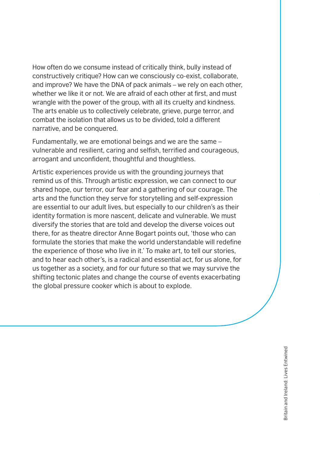How often do we consume instead of critically think, bully instead of constructively critique? How can we consciously co-exist, collaborate, and improve? We have the DNA of pack animals – we rely on each other, whether we like it or not. We are afraid of each other at first, and must wrangle with the power of the group, with all its cruelty and kindness. The arts enable us to collectively celebrate, grieve, purge terror, and combat the isolation that allows us to be divided, told a different narrative, and be conquered.

Fundamentally, we are emotional beings and we are the same – vulnerable and resilient, caring and selfish, terrified and courageous, arrogant and unconfident, thoughtful and thoughtless.

Artistic experiences provide us with the grounding journeys that remind us of this. Through artistic expression, we can connect to our shared hope, our terror, our fear and a gathering of our courage. The arts and the function they serve for storytelling and self-expression are essential to our adult lives, but especially to our children's as their identity formation is more nascent, delicate and vulnerable. We must diversify the stories that are told and develop the diverse voices out there, for as theatre director Anne Bogart points out, 'those who can formulate the stories that make the world understandable will redefine the experience of those who live in it.' To make art, to tell our stories, and to hear each other's, is a radical and essential act, for us alone, for us together as a society, and for our future so that we may survive the shifting tectonic plates and change the course of events exacerbating the global pressure cooker which is about to explode.